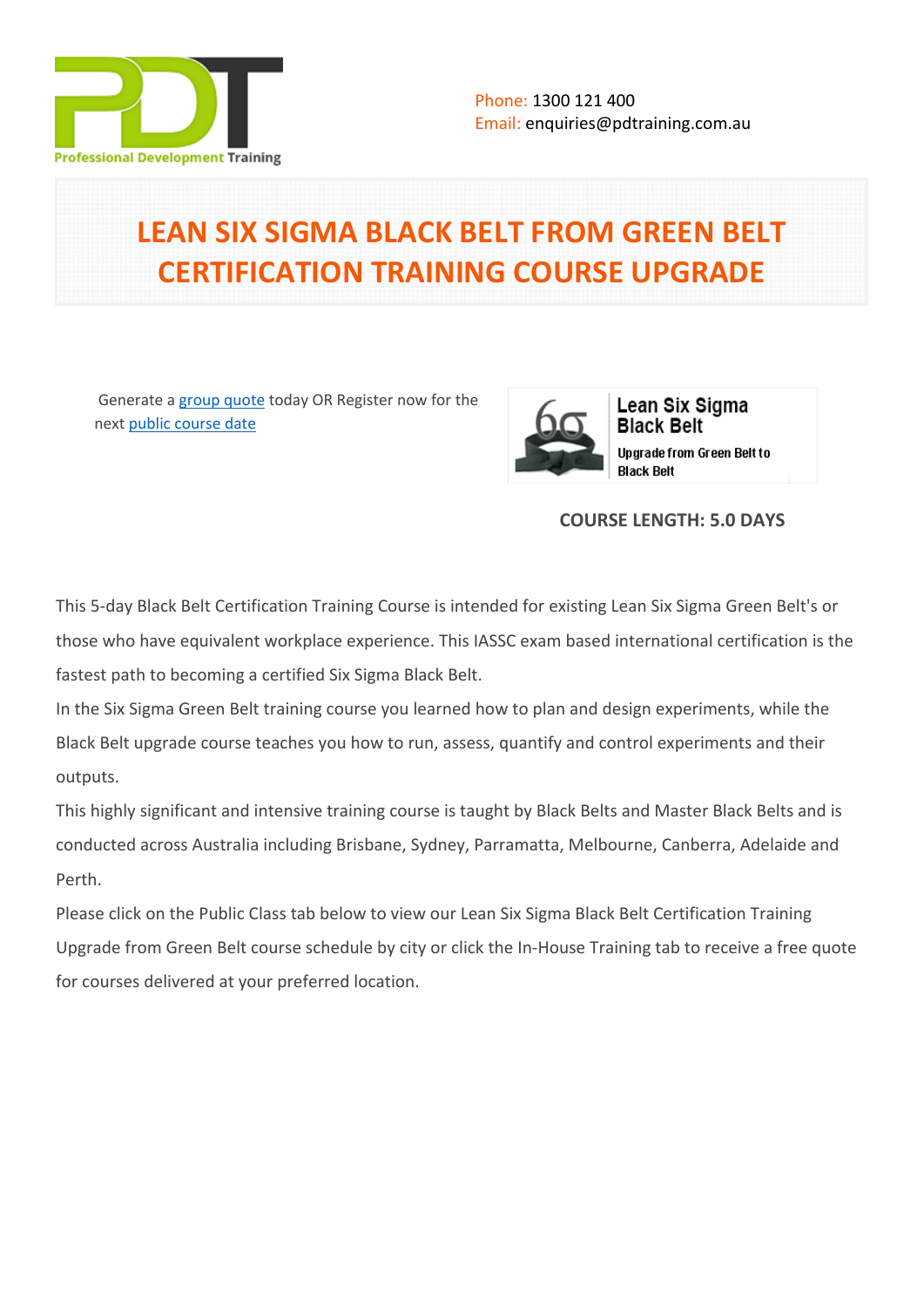

## **LEAN SIX SIGMA BLACK BELT FROM GREEN BELT CERTIFICATION TRAINING COURSE UPGRADE**

 Generate a [group quote](https://pdtraining.com.au/inhouse-training-quote?cse=PDT005) today OR Register now for the next [public course date](https://pdtraining.com.au/booking?schedulecode=wqH2lRO0ZlO4sW5OyZI9mQBtXb7MLYDBwvbMuWjz3lqw9cKma1y7KYyQYoekTbpbSnI6UsuKQigbzeuVBUMTBF0H8vYgS8P16pNVENBRHWqBSwqT4sT9zGJmwa8zEo2RDoejAIrXs4lOpxZMeelzpQ&countryCode=AU¤cyCode=AU)



Lean Six Sigma **Black Belt** Upgrade from Green Belt to **Black Belt** 

## **COURSE LENGTH: 5.0 DAYS**

This 5-day Black Belt Certification Training Course is intended for existing [Lean Six Sigma Green Belt's](https://pdtraining.com.au/courses/lean-six-sigma-green-belt-training-course) or those who have equivalent workplace experience. This IASSC exam based international certification is the fastest path to becoming a certified Six Sigma Black Belt.

In the Six Sigma Green Belt training course you learned how to plan and design experiments, while the Black Belt upgrade course teaches you how to run, assess, quantify and control experiments and their outputs.

This highly significant and intensive training course is taught by Black Belts and Master Black Belts and is conducted across Australia including Brisbane, Sydney, Parramatta, Melbourne, Canberra, Adelaide and Perth.

Please click on the Public Class tab below to view our Lean Six Sigma Black Belt Certification Training Upgrade from Green Belt course schedule by city or click the In-House Training tab to receive a free quote for courses delivered at your preferred location.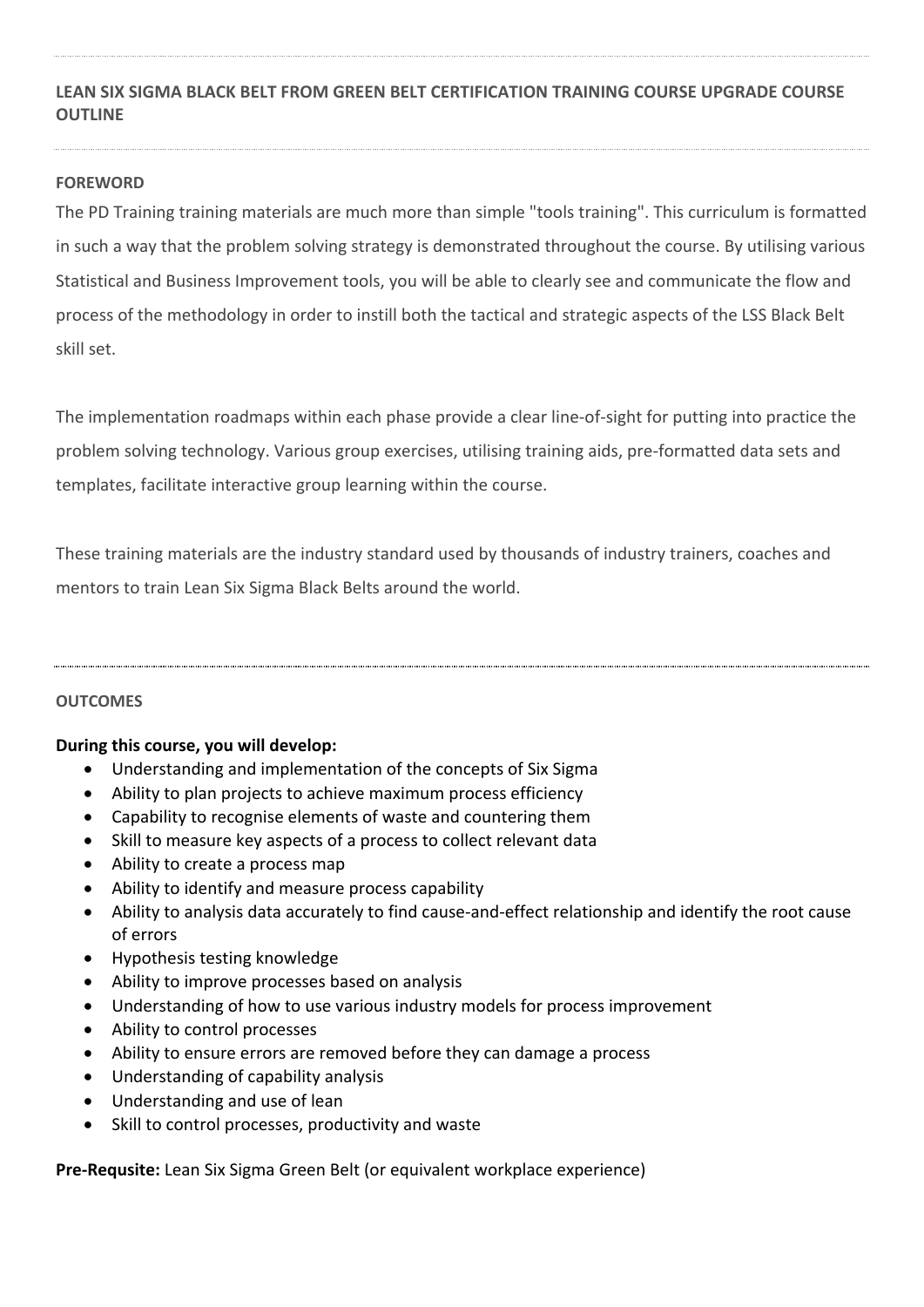## **LEAN SIX SIGMA BLACK BELT FROM GREEN BELT CERTIFICATION TRAINING COURSE UPGRADE COURSE OUTLINE**

#### **FOREWORD**

The PD Training training materials are much more than simple "tools training". This curriculum is formatted in such a way that the problem solving strategy is demonstrated throughout the course. By utilising various Statistical and Business Improvement tools, you will be able to clearly see and communicate the flow and process of the methodology in order to instill both the tactical and strategic aspects of the LSS Black Belt skill set.

The implementation roadmaps within each phase provide a clear line-of-sight for putting into practice the problem solving technology. Various group exercises, utilising training aids, pre-formatted data sets and templates, facilitate interactive group learning within the course.

These training materials are the industry standard used by thousands of industry trainers, coaches and mentors to train Lean Six Sigma Black Belts around the world.

#### **OUTCOMES**

#### **During this course, you will develop:**

- Understanding and implementation of the concepts of Six Sigma
- Ability to plan projects to achieve maximum process efficiency
- Capability to recognise elements of waste and countering them
- Skill to measure key aspects of a process to collect relevant data
- Ability to create a process map
- Ability to identify and measure process capability
- Ability to analysis data accurately to find cause-and-effect relationship and identify the root cause of errors
- Hypothesis testing knowledge
- Ability to improve processes based on analysis
- Understanding of how to use various industry models for process improvement
- Ability to control processes
- Ability to ensure errors are removed before they can damage a process
- Understanding of capability analysis
- Understanding and use of lean
- Skill to control processes, productivity and waste

**Pre-Requsite:** [Lean Six Sigma Green Belt \(](https://pdtraining.com.au/courses/lean-six-sigma-green-belt-training-course)or equivalent workplace experience)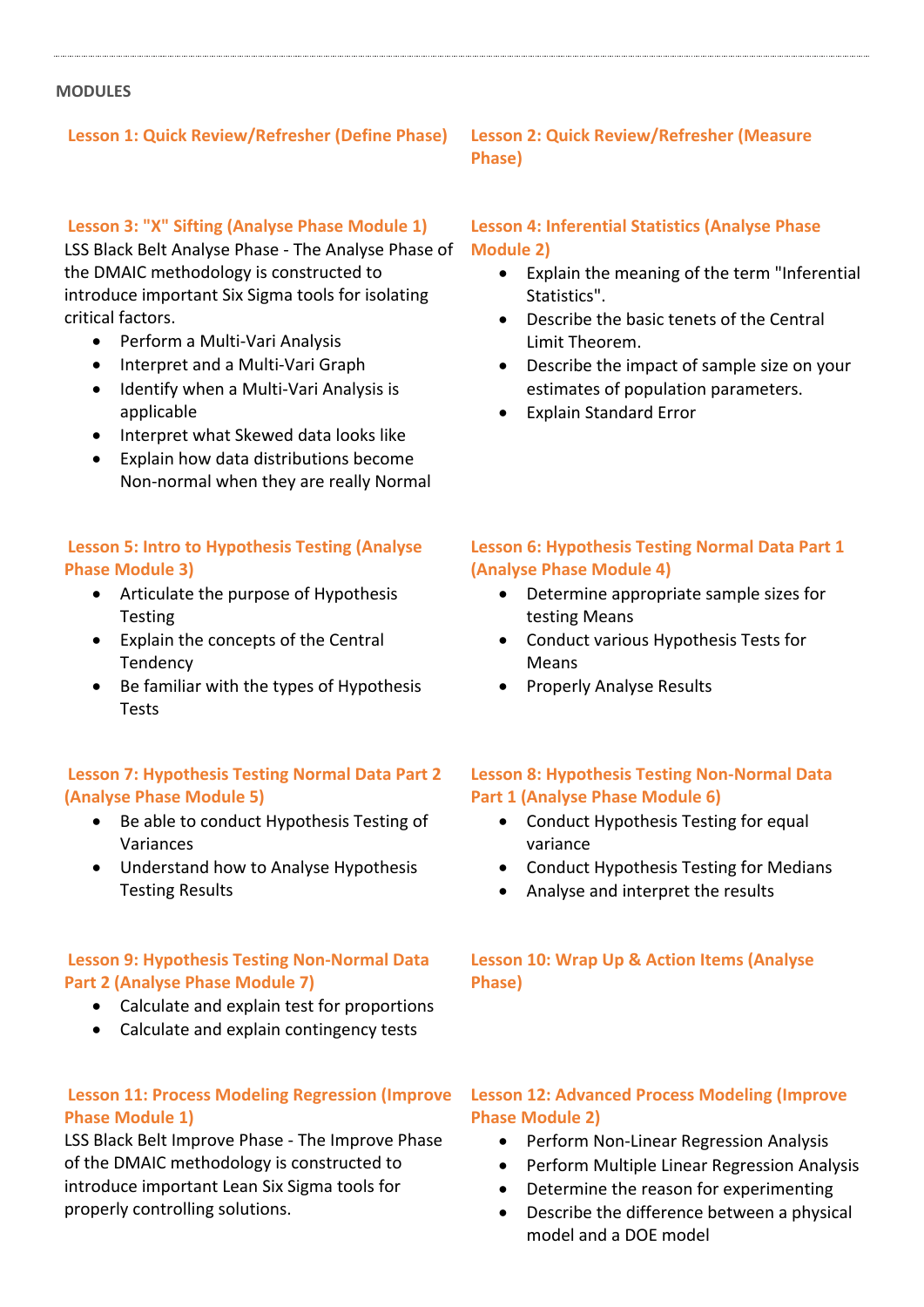#### **MODULES**

## **Lesson 1: Quick Review/Refresher (Define Phase) Lesson 2: Quick Review/Refresher (Measure**

#### **Lesson 3: "X" Sifting (Analyse Phase Module 1)**

LSS Black Belt Analyse Phase - The Analyse Phase of the DMAIC methodology is constructed to introduce important Six Sigma tools for isolating critical factors.

- Perform a Multi-Vari Analysis
- Interpret and a Multi-Vari Graph
- Identify when a Multi-Vari Analysis is applicable
- Interpret what Skewed data looks like
- Explain how data distributions become Non-normal when they are really Normal

#### **Lesson 5: Intro to Hypothesis Testing (Analyse Phase Module 3)**

- Articulate the purpose of Hypothesis Testing
- Explain the concepts of the Central Tendency
- Be familiar with the types of Hypothesis Tests

#### **Lesson 7: Hypothesis Testing Normal Data Part 2 (Analyse Phase Module 5)**

- Be able to conduct Hypothesis Testing of Variances
- Understand how to Analyse Hypothesis Testing Results

#### **Lesson 9: Hypothesis Testing Non-Normal Data Part 2 (Analyse Phase Module 7)**

- Calculate and explain test for proportions
- Calculate and explain contingency tests

## **Lesson 11: Process Modeling Regression (Improve Phase Module 1)**

LSS Black Belt Improve Phase - The Improve Phase of the DMAIC methodology is constructed to introduce important Lean Six Sigma tools for properly controlling solutions.

## **Phase)**

#### **Lesson 4: Inferential Statistics (Analyse Phase Module 2)**

- Explain the meaning of the term "Inferential Statistics".
- Describe the basic tenets of the Central Limit Theorem.
- Describe the impact of sample size on your estimates of population parameters.
- Explain Standard Error

#### **Lesson 6: Hypothesis Testing Normal Data Part 1 (Analyse Phase Module 4)**

- Determine appropriate sample sizes for testing Means
- Conduct various Hypothesis Tests for Means
- Properly Analyse Results

#### **Lesson 8: Hypothesis Testing Non-Normal Data Part 1 (Analyse Phase Module 6)**

- Conduct Hypothesis Testing for equal variance
- Conduct Hypothesis Testing for Medians
- Analyse and interpret the results

#### **Lesson 10: Wrap Up & Action Items (Analyse Phase)**

#### **Lesson 12: Advanced Process Modeling (Improve Phase Module 2)**

- Perform Non-Linear Regression Analysis
- Perform Multiple Linear Regression Analysis
- Determine the reason for experimenting
- Describe the difference between a physical model and a DOE model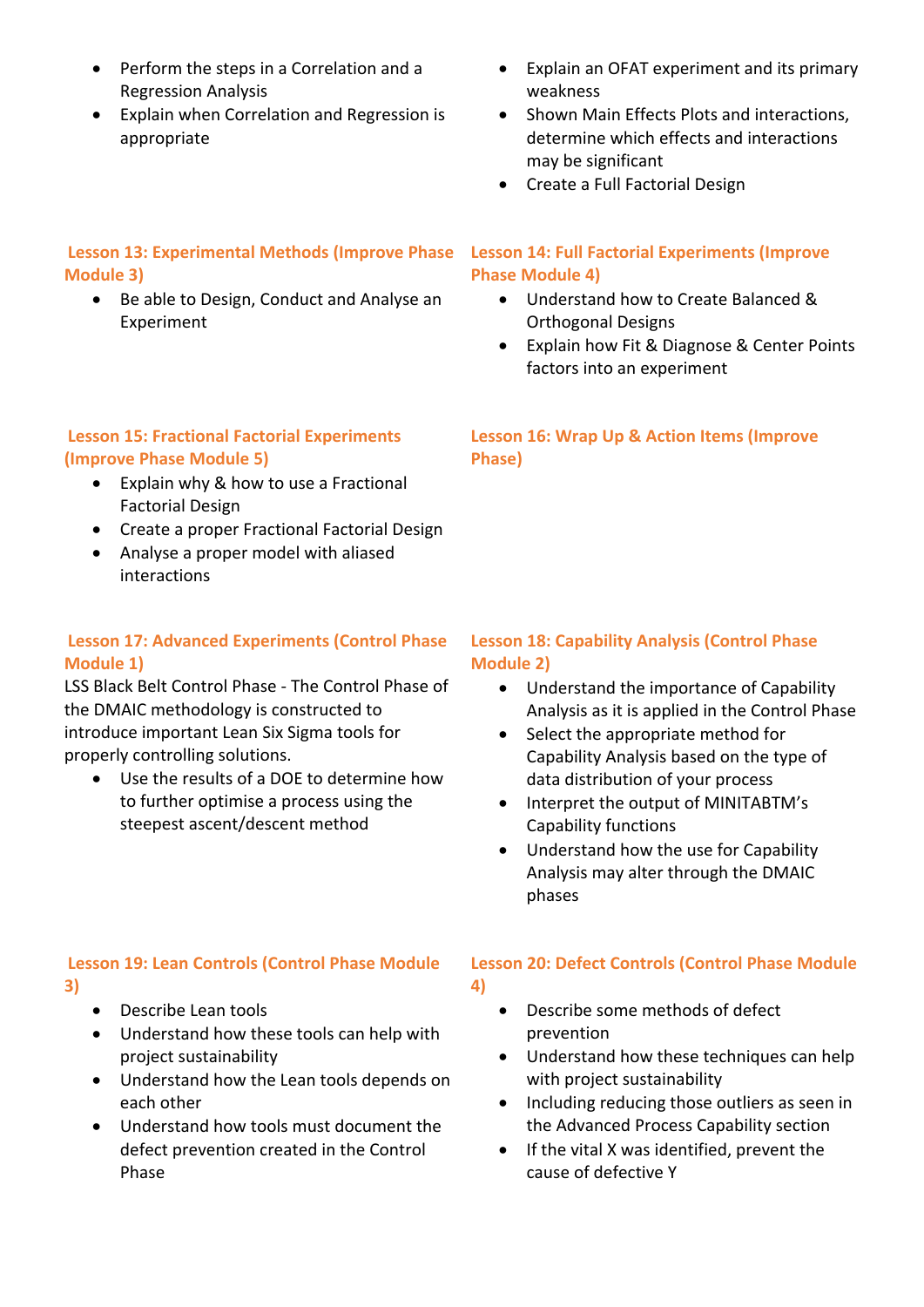- Perform the steps in a Correlation and a Regression Analysis
- Explain when Correlation and Regression is appropriate

## **Lesson 13: Experimental Methods (Improve Phase Lesson 14: Full Factorial Experiments (Improve Module 3)**

● Be able to Design, Conduct and Analyse an Experiment

## Explain an OFAT experiment and its primary weakness

- Shown Main Effects Plots and interactions, determine which effects and interactions may be significant
- Create a Full Factorial Design

# **Phase Module 4)**

- Understand how to Create Balanced & Orthogonal Designs
- Explain how Fit & Diagnose & Center Points factors into an experiment

## **Lesson 15: Fractional Factorial Experiments (Improve Phase Module 5)**

- Explain why & how to use a Fractional Factorial Design
- Create a proper Fractional Factorial Design
- Analyse a proper model with aliased interactions

## **Lesson 17: Advanced Experiments (Control Phase Module 1)**

LSS Black Belt Control Phase - The Control Phase of the DMAIC methodology is constructed to introduce important Lean Six Sigma tools for properly controlling solutions.

 Use the results of a DOE to determine how to further optimise a process using the steepest ascent/descent method

## **Lesson 16: Wrap Up & Action Items (Improve Phase)**

## **Lesson 18: Capability Analysis (Control Phase Module 2)**

- Understand the importance of Capability Analysis as it is applied in the Control Phase
- Select the appropriate method for Capability Analysis based on the type of data distribution of your process
- Interpret the output of MINITABTM's Capability functions
- Understand how the use for Capability Analysis may alter through the DMAIC phases

#### **Lesson 19: Lean Controls (Control Phase Module 3)**

- Describe Lean tools
- Understand how these tools can help with project sustainability
- Understand how the Lean tools depends on each other
- Understand how tools must document the defect prevention created in the Control Phase

## **Lesson 20: Defect Controls (Control Phase Module**

- **4)**
- Describe some methods of defect prevention
- Understand how these techniques can help with project sustainability
- Including reducing those outliers as seen in the Advanced Process Capability section
- If the vital X was identified, prevent the cause of defective Y